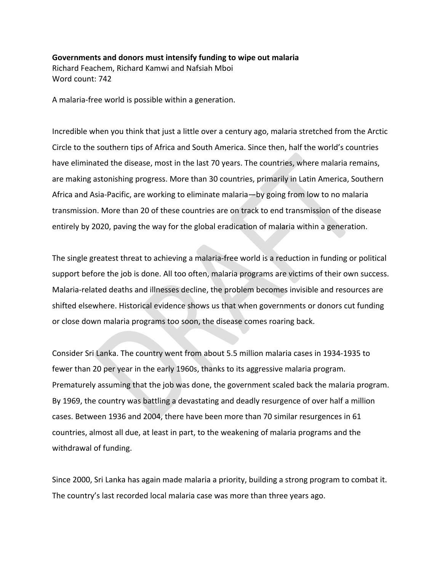## **Governments and donors must intensify funding to wipe out malaria** Richard Feachem, Richard Kamwi and Nafsiah Mboi Word count: 742

A malaria-free world is possible within a generation.

Incredible when you think that just a little over a century ago, malaria stretched from the Arctic Circle to the southern tips of Africa and South America. Since then, half the world's countries have eliminated the disease, most in the last 70 years. The countries, where malaria remains, are making astonishing progress. More than 30 countries, primarily in Latin America, Southern Africa and Asia-Pacific, are working to eliminate malaria—by going from low to no malaria transmission. More than 20 of these countries are on track to end transmission of the disease entirely by 2020, paving the way for the global eradication of malaria within a generation.

The single greatest threat to achieving a malaria-free world is a reduction in funding or political support before the job is done. All too often, malaria programs are victims of their own success. Malaria-related deaths and illnesses decline, the problem becomes invisible and resources are shifted elsewhere. Historical evidence shows us that when governments or donors cut funding or close down malaria programs too soon, the disease comes roaring back.

Consider Sri Lanka. The country went from about 5.5 million malaria cases in 1934-1935 to fewer than 20 per year in the early 1960s, thanks to its aggressive malaria program. Prematurely assuming that the job was done, the government scaled back the malaria program. By 1969, the country was battling a devastating and deadly resurgence of over half a million cases. Between 1936 and 2004, there have been more than 70 similar resurgences in 61 countries, almost all due, at least in part, to the weakening of malaria programs and the withdrawal of funding.

Since 2000, Sri Lanka has again made malaria a priority, building a strong program to combat it. The country's last recorded local malaria case was more than three years ago.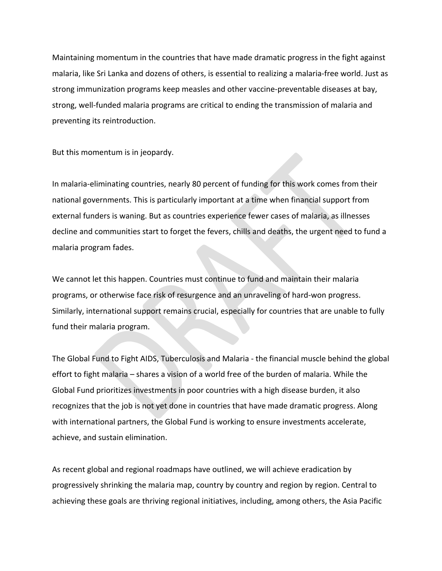Maintaining momentum in the countries that have made dramatic progress in the fight against malaria, like Sri Lanka and dozens of others, is essential to realizing a malaria-free world. Just as strong immunization programs keep measles and other vaccine-preventable diseases at bay, strong, well-funded malaria programs are critical to ending the transmission of malaria and preventing its reintroduction.

But this momentum is in jeopardy.

In malaria-eliminating countries, nearly 80 percent of funding for this work comes from their national governments. This is particularly important at a time when financial support from external funders is waning. But as countries experience fewer cases of malaria, as illnesses decline and communities start to forget the fevers, chills and deaths, the urgent need to fund a malaria program fades.

We cannot let this happen. Countries must continue to fund and maintain their malaria programs, or otherwise face risk of resurgence and an unraveling of hard-won progress. Similarly, international support remains crucial, especially for countries that are unable to fully fund their malaria program.

The Global Fund to Fight AIDS, Tuberculosis and Malaria - the financial muscle behind the global effort to fight malaria – shares a vision of a world free of the burden of malaria. While the Global Fund prioritizes investments in poor countries with a high disease burden, it also recognizes that the job is not yet done in countries that have made dramatic progress. Along with international partners, the Global Fund is working to ensure investments accelerate, achieve, and sustain elimination.

As recent global and regional roadmaps have outlined, we will achieve eradication by progressively shrinking the malaria map, country by country and region by region. Central to achieving these goals are thriving regional initiatives, including, among others, the Asia Pacific